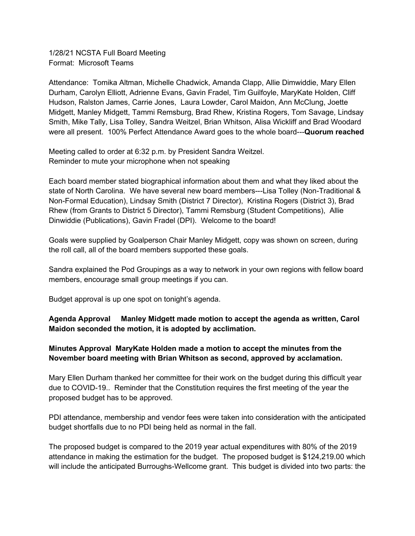1/28/21 NCSTA Full Board Meeting Format: Microsoft Teams

Attendance: Tomika Altman, Michelle Chadwick, Amanda Clapp, Allie Dimwiddie, Mary Ellen Durham, Carolyn Elliott, Adrienne Evans, Gavin Fradel, Tim Guilfoyle, MaryKate Holden, Cliff Hudson, Ralston James, Carrie Jones, Laura Lowder, Carol Maidon, Ann McClung, Joette Midgett, Manley Midgett, Tammi Remsburg, Brad Rhew, Kristina Rogers, Tom Savage, Lindsay Smith, Mike Tally, Lisa Tolley, Sandra Weitzel, Brian Whitson, Alisa Wickliff and Brad Woodard were all present. 100% Perfect Attendance Award goes to the whole board---**Quorum reached**

Meeting called to order at 6:32 p.m. by President Sandra Weitzel. Reminder to mute your microphone when not speaking

Each board member stated biographical information about them and what they liked about the state of North Carolina. We have several new board members---Lisa Tolley (Non-Traditional & Non-Formal Education), Lindsay Smith (District 7 Director), Kristina Rogers (District 3), Brad Rhew (from Grants to District 5 Director), Tammi Remsburg (Student Competitions), Allie Dinwiddie (Publications), Gavin Fradel (DPI). Welcome to the board!

Goals were supplied by Goalperson Chair Manley Midgett, copy was shown on screen, during the roll call, all of the board members supported these goals.

Sandra explained the Pod Groupings as a way to network in your own regions with fellow board members, encourage small group meetings if you can.

Budget approval is up one spot on tonight's agenda.

**Agenda Approval Manley Midgett made motion to accept the agenda as written, Carol Maidon seconded the motion, it is adopted by acclimation.**

#### **Minutes Approval MaryKate Holden made a motion to accept the minutes from the November board meeting with Brian Whitson as second, approved by acclamation.**

Mary Ellen Durham thanked her committee for their work on the budget during this difficult year due to COVID-19.. Reminder that the Constitution requires the first meeting of the year the proposed budget has to be approved.

PDI attendance, membership and vendor fees were taken into consideration with the anticipated budget shortfalls due to no PDI being held as normal in the fall.

The proposed budget is compared to the 2019 year actual expenditures with 80% of the 2019 attendance in making the estimation for the budget. The proposed budget is \$124,219.00 which will include the anticipated Burroughs-Wellcome grant. This budget is divided into two parts: the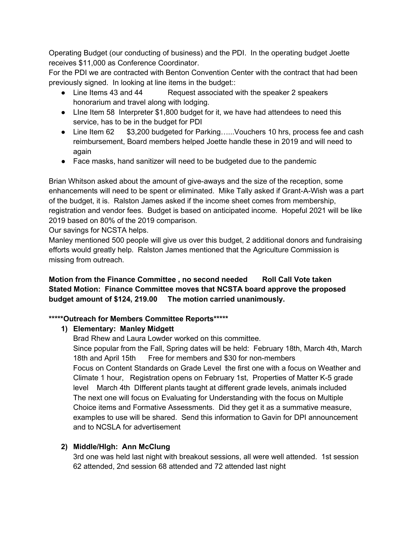Operating Budget (our conducting of business) and the PDI. In the operating budget Joette receives \$11,000 as Conference Coordinator.

For the PDI we are contracted with Benton Convention Center with the contract that had been previously signed. In looking at line items in the budget::

- Line Items 43 and 44 Request associated with the speaker 2 speakers honorarium and travel along with lodging.
- Line Item 58 Interpreter \$1,800 budget for it, we have had attendees to need this service, has to be in the budget for PDI
- Line Item 62 \$3,200 budgeted for Parking…..Vouchers 10 hrs, process fee and cash reimbursement, Board members helped Joette handle these in 2019 and will need to again
- Face masks, hand sanitizer will need to be budgeted due to the pandemic

Brian Whitson asked about the amount of give-aways and the size of the reception, some enhancements will need to be spent or eliminated. Mike Tally asked if Grant-A-Wish was a part of the budget, it is. Ralston James asked if the income sheet comes from membership, registration and vendor fees. Budget is based on anticipated income. Hopeful 2021 will be like 2019 based on 80% of the 2019 comparison.

Our savings for NCSTA helps.

Manley mentioned 500 people will give us over this budget, 2 additional donors and fundraising efforts would greatly help. Ralston James mentioned that the Agriculture Commission is missing from outreach.

**Motion from the Finance Committee , no second needed Roll Call Vote taken Stated Motion: Finance Committee moves that NCSTA board approve the proposed budget amount of \$124, 219.00 The motion carried unanimously.**

## **\*\*\*\*\*Outreach for Members Committee Reports\*\*\*\*\***

## **1) Elementary: Manley Midgett**

Brad Rhew and Laura Lowder worked on this committee. Since popular from the Fall, Spring dates will be held: February 18th, March 4th, March 18th and April 15th Free for members and \$30 for non-members Focus on Content Standards on Grade Level the first one with a focus on Weather and Climate 1 hour, Registration opens on February 1st, Properties of Matter K-5 grade level March 4th DIfferent plants taught at different grade levels, animals included The next one will focus on Evaluating for Understanding with the focus on Multiple Choice items and Formative Assessments. Did they get it as a summative measure, examples to use will be shared. Send this information to Gavin for DPI announcement and to NCSLA for advertisement

# **2) Middle/HIgh: Ann McClung**

3rd one was held last night with breakout sessions, all were well attended. 1st session 62 attended, 2nd session 68 attended and 72 attended last night